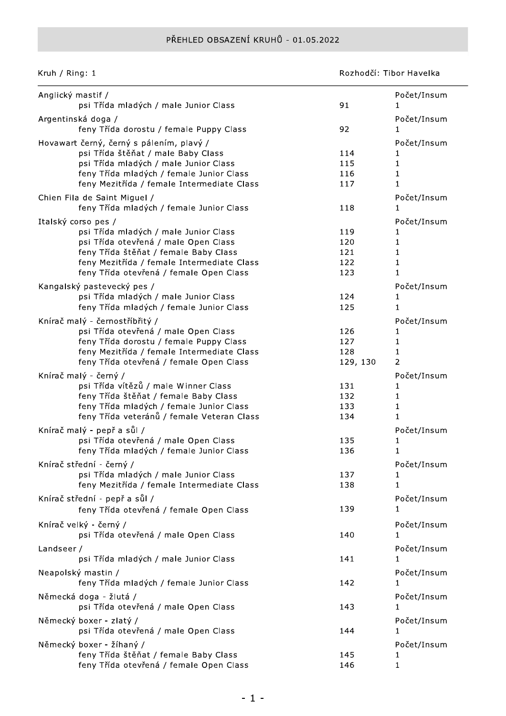## PŘEHLED OBSAZENÍ KRUHŮ - 01.05.2022

Kruh / Ring: 1

Rozhodčí: Tibor Havelka

| Anglický mastif /                                                                     |            | Počet/Insum        |
|---------------------------------------------------------------------------------------|------------|--------------------|
| psi Třída mladých / male Junior Class                                                 | 91         |                    |
| Argentinská doga /                                                                    |            | Počet/Insum        |
| feny Třída dorostu / female Puppy Class                                               | 92         | 1                  |
| Hovawart černý, černý s pálením, plavý /                                              |            | Počet/Insum        |
| psi Třída štěňat / male Baby Class                                                    | 114        |                    |
| psi Třída mladých / male Junior Class<br>feny Třída mladých / female Junior Class     | 115<br>116 | 1<br>1             |
| feny Mezitřída / female Intermediate Class                                            | 117        | 1                  |
|                                                                                       |            |                    |
| Chien Fila de Saint Miguel /<br>feny Třída mladých / female Junior Class              | 118        | Počet/Insum<br>1   |
|                                                                                       |            |                    |
| Italský corso pes /                                                                   |            | Počet/Insum        |
| psi Třída mladých / male Junior Class<br>psi Třída otevřená / male Open Class         | 119<br>120 | $\mathbf 1$        |
| feny Třída štěňat / female Baby Class                                                 | 121        | $\mathbf 1$        |
| feny Mezitřída / female Intermediate Class                                            | 122        | 1                  |
| feny Třída otevřená / female Open Class                                               | 123        | $\mathbf{1}$       |
|                                                                                       |            |                    |
| Kangalský pastevecký pes /<br>psi Třída mladých / male Junior Class                   | 124        | Počet/Insum<br>1   |
| feny Třída mladých / female Junior Class                                              | 125        | 1                  |
|                                                                                       |            |                    |
| Knírač malý - černostříbřitý /                                                        |            | Počet/Insum        |
| psi Třída otevřená / male Open Class                                                  | 126<br>127 | 1.<br>$\mathbf{1}$ |
| feny Třída dorostu / female Puppy Class<br>feny Mezitřída / female Intermediate Class | 128        | $\mathbf{1}$       |
| feny Třída otevřená / female Open Class                                               | 129, 130   | 2                  |
|                                                                                       |            |                    |
| Knírač malý - černý /                                                                 |            | Počet/Insum        |
| psi Třída vítězů / male Winner Class<br>feny Třída štěňat / female Baby Class         | 131<br>132 | $\mathbf{1}$       |
| feny Třída mladých / female Junior Class                                              | 133        | 1                  |
| feny Třída veteránů / female Veteran Class                                            | 134        | 1                  |
|                                                                                       |            |                    |
| Knírač malý - pepř a sůl /<br>psi Třída otevřená / male Open Class                    | 135        | Počet/Insum        |
| feny Třída mladých / female Junior Class                                              | 136        | 1<br>$\mathbf{1}$  |
|                                                                                       |            |                    |
| Knírač střední - černý /                                                              |            | Počet/Insum        |
| psi Třída mladých / male Junior Class                                                 | 137        | 1                  |
| feny Mezitřída / female Intermediate Class                                            | 138        | 1                  |
| Knírač střední - pepř a sůl /                                                         |            | Počet/Insum        |
| feny Třída otevřená / female Open Class                                               | 139        | 1                  |
| Knírač velký - černý /                                                                |            | Počet/Insum        |
| psi Třída otevřená / male Open Class                                                  | 140        |                    |
| Landseer/                                                                             |            | Počet/Insum        |
| psi Třída mladých / male Junior Class                                                 | 141        | 1                  |
| Neapolský mastin /                                                                    |            | Počet/Insum        |
| feny Třída mladých / female Junior Class                                              | 142        | 1                  |
|                                                                                       |            |                    |
| Německá doga - žlutá /                                                                |            | Počet/Insum        |
| psi Třída otevřená / male Open Class                                                  | 143        |                    |
| Německý boxer - zlatý /                                                               |            | Počet/Insum        |
| psi Třída otevřená / male Open Class                                                  | 144        | 1                  |
| Německý boxer - žíhaný /                                                              |            | Počet/Insum        |
| feny Třída štěňat / female Baby Class                                                 | 145        |                    |
| feny Třída otevřená / female Open Class                                               | 146        | 1                  |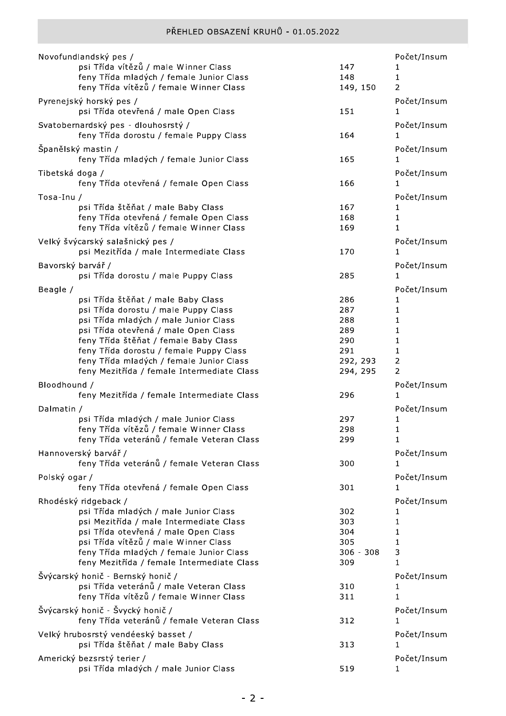|                   | Novofundlandský pes /                                                            |             | Počet/Insum |
|-------------------|----------------------------------------------------------------------------------|-------------|-------------|
|                   | psi Třída vítězů / male Winner Class                                             | 147         | 1           |
|                   | feny Třída mladých / female Junior Class                                         | 148         | 1           |
|                   | feny Třída vítězů / female Winner Class                                          | 149, 150    | 2           |
|                   | Pyrenejský horský pes /                                                          |             | Počet/Insum |
|                   | psi Třída otevřená / male Open Class                                             | 151         | 1           |
|                   | Svatobernardský pes - dlouhosrstý /                                              |             | Počet/Insum |
|                   | feny Třída dorostu / female Puppy Class                                          | 164         | L           |
|                   |                                                                                  |             |             |
|                   | Španělský mastin /                                                               |             | Počet/Insum |
|                   | feny Třída mladých / female Junior Class                                         | 165         | 1           |
| Tibetská doga /   |                                                                                  |             | Počet/Insum |
|                   | feny Třída otevřená / female Open Class                                          | 166         | 1           |
| Tosa-Inu /        |                                                                                  |             | Počet/Insum |
|                   | psi Třída štěňat / male Baby Class                                               | 167         |             |
|                   | feny Třída otevřená / female Open Class                                          | 168         | 1           |
|                   | feny Třída vítězů / female Winner Class                                          | 169         | 1           |
|                   | Velký švýcarský salašnický pes /                                                 |             | Počet/Insum |
|                   | psi Mezitřída / male Intermediate Class                                          | 170         | 1           |
| Bavorský barvář / |                                                                                  |             | Počet/Insum |
|                   | psi Třída dorostu / male Puppy Class                                             | 285         | 1.          |
|                   |                                                                                  |             |             |
| Beagle /          |                                                                                  |             | Počet/Insum |
|                   | psi Třída štěňat / male Baby Class                                               | 286<br>287  | 1           |
|                   | psi Třída dorostu / male Puppy Class<br>psi Třída mladých / male Junior Class    | 288         | 1<br>1      |
|                   | psi Třída otevřená / male Open Class                                             | 289         | 1           |
|                   | feny Třída štěňat / female Baby Class                                            | 290         | 1           |
|                   | feny Třída dorostu / female Puppy Class                                          | 291         | 1           |
|                   | feny Třída mladých / female Junior Class                                         | 292, 293    | 2           |
|                   | feny Mezitřída / female Intermediate Class                                       | 294, 295    | 2           |
| Bloodhound /      |                                                                                  |             | Počet/Insum |
|                   | feny Mezitřída / female Intermediate Class                                       | 296         | 1           |
|                   |                                                                                  |             |             |
| Dalmatin /        |                                                                                  |             | Počet/Insum |
|                   | psi Třída mladých / male Junior Class<br>feny Třída vítězů / female Winner Class | 297<br>298  | 1<br>1      |
|                   | feny Třída veteránů / female Veteran Class                                       | 299         | 1           |
|                   |                                                                                  |             |             |
|                   | Hannoverský barvář /                                                             |             | Počet/Insum |
|                   | feny Třída veteránů / female Veteran Class                                       | 300         | 1           |
| Polský ogar /     |                                                                                  |             | Počet/Insum |
|                   | feny Třída otevřená / female Open Class                                          | 301         | 1           |
|                   | Rhodéský ridgeback /                                                             |             | Počet/Insum |
|                   | psi Třída mladých / male Junior Class                                            | 302         | 1           |
|                   | psi Mezitřída / male Intermediate Class                                          | 303         | 1           |
|                   | psi Třída otevřená / male Open Class                                             | 304         | 1           |
|                   | psi Třída vítězů / male Winner Class                                             | 305         | 1           |
|                   | feny Třída mladých / female Junior Class                                         | $306 - 308$ | 3           |
|                   | feny Mezitřída / female Intermediate Class                                       | 309         | 1           |
|                   | Švýcarský honič - Bernský honič /                                                |             | Počet/Insum |
|                   | psi Třída veteránů / male Veteran Class                                          | 310         | ı           |
|                   | feny Třída vítězů / female Winner Class                                          | 311         | 1           |
|                   | Švýcarský honič - Švycký honič /                                                 |             | Počet/Insum |
|                   | feny Třída veteránů / female Veteran Class                                       | 312         | 1           |
|                   | Velký hrubosrstý vendéeský basset /                                              |             | Počet/Insum |
|                   | psi Třída štěňat / male Baby Class                                               | 313         | 1           |
|                   | Americký bezsrstý terier /                                                       |             | Počet/Insum |
|                   | psi Třída mladých / male Junior Class                                            | 519         | 1           |
|                   |                                                                                  |             |             |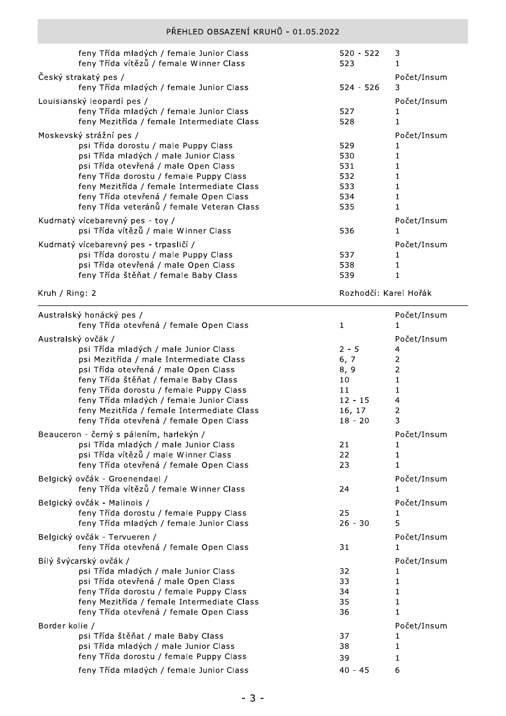| feny Třída mladých / female Junior Class<br>feny Třída vítězů / female Winner Class                                                                                                                                                                                                                                                | $520 - 522$<br>523                            | 3                |
|------------------------------------------------------------------------------------------------------------------------------------------------------------------------------------------------------------------------------------------------------------------------------------------------------------------------------------|-----------------------------------------------|------------------|
| Český strakatý pes /<br>feny Třída mladých / female Junior Class                                                                                                                                                                                                                                                                   | $524 - 526$                                   | Počet/Insum<br>3 |
| Louisianský leopardí pes /<br>feny Třída mladých / female Junior Class<br>feny Mezitřída / female Intermediate Class                                                                                                                                                                                                               | 527<br>528                                    | Počet/Insum      |
| Moskevský strážní pes /<br>psi Třída dorostu / male Puppy Class<br>psi Třída mladých / male Junior Class<br>psi Třída otevřená / male Open Class<br>feny Třída dorostu / female Puppy Class<br>feny Mezitřída / female Intermediate Class<br>feny Třída otevřená / female Open Class<br>feny Třída veteránů / female Veteran Class | 529<br>530<br>531<br>532<br>533<br>534<br>535 | Počet/Insum      |
| Kudrnatý vícebarevný pes - toy /<br>psi Třída vítězů / male Winner Class                                                                                                                                                                                                                                                           | 536                                           | Počet/Insum      |
| Kudrnatý vícebarevný pes - trpasličí /<br>psi Třída dorostu / male Puppy Class<br>psi Třída otevřená / male Open Class<br>feny Třída štěňat / female Baby Class                                                                                                                                                                    | 537<br>538<br>539                             | Počet/Insum      |

Kruh / Ring: 2

Rozhodčí: Karel Hořák

| Australský honácký pes /<br>feny Třída otevřená / female Open Class | $\mathbf{1}$ | Počet/Insum<br>1 |
|---------------------------------------------------------------------|--------------|------------------|
|                                                                     |              |                  |
| Australský ovčák /                                                  | Počet/Insum  |                  |
| psi Třída mladých / male Junior Class                               | $2 - 5$      | 4                |
| psi Mezitřída / male Intermediate Class                             | 6, 7         | $\mathbf 2$      |
| psi Třída otevřená / male Open Class                                | 8, 9         | $\overline{2}$   |
| feny Třída štěňat / female Baby Class                               | 10           | $\mathbf{1}$     |
| feny Třída dorostu / female Puppy Class                             | 11           | 1                |
| feny Třída mladých / female Junior Class                            | $12 - 15$    | 4                |
| feny Mezitřída / female Intermediate Class                          | 16, 17       | 2                |
| feny Třída otevřená / female Open Class                             | $18 - 20$    | 3                |
| Beauceron - černý s pálením, harlekýn /                             |              | Počet/Insum      |
| psi Třída mladých / male Junior Class                               | 21           | 1                |
| psi Třída vítězů / male Winner Class                                | 22           | 1                |
| feny Třída otevřená / female Open Class                             | 23           | 1                |
| Belgický ovčák - Groenendael /                                      |              | Počet/Insum      |
| feny Třída vítězů / female Winner Class                             | 24           | 1.               |
| Belgický ovčák - Malinois /                                         |              | Počet/Insum      |
| feny Třída dorostu / female Puppy Class                             | 25           | 1                |
| feny Třída mladých / female Junior Class                            | $26 - 30$    | 5                |
| Belgický ovčák - Tervueren /                                        |              | Počet/Insum      |
| feny Třída otevřená / female Open Class                             | 31           |                  |
| Bílý švýcarský ovčák /                                              |              | Počet/Insum      |
| psi Třída mladých / male Junior Class                               | 32           | 1                |
| psi Třída otevřená / male Open Class                                | 33           | $\mathbf{1}$     |
| feny Třída dorostu / female Puppy Class                             | 34           | 1                |
| feny Mezitřída / female Intermediate Class                          | 35           | 1                |
| feny Třída otevřená / female Open Class                             | 36           | $\mathbf{1}$     |
| Border kolie /                                                      |              | Počet/Insum      |
| psi Třída štěňat / male Baby Class                                  | 37           |                  |
| psi Třída mladých / male Junior Class                               | 38           | 1                |
| feny Třída dorostu / female Puppy Class                             | 39           | 1                |
| feny Třída mladých / female Junior Class                            | $40 - 45$    | 6                |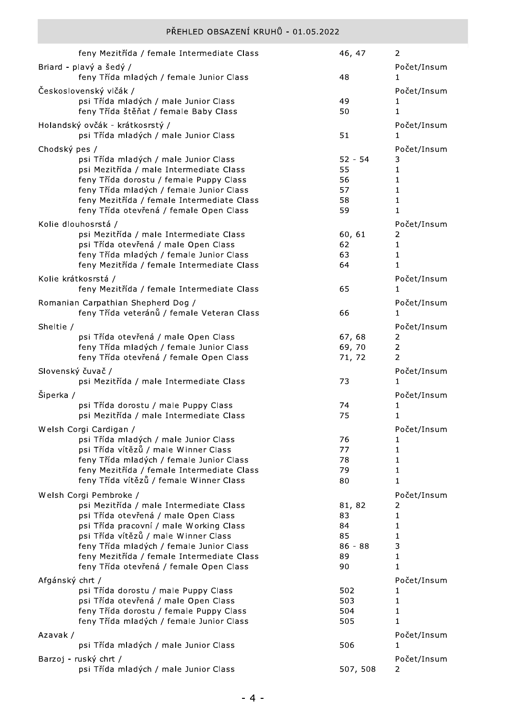|                   | feny Mezitřída / female Intermediate Class                                             | 46, 47          | 2                   |
|-------------------|----------------------------------------------------------------------------------------|-----------------|---------------------|
|                   | Briard - plavý a šedý /                                                                |                 | Počet/Insum         |
|                   | feny Třída mladých / female Junior Class                                               | 48              | 1                   |
|                   | Československý vlčák /                                                                 |                 | Počet/Insum         |
|                   | psi Třída mladých / male Junior Class                                                  | 49              |                     |
|                   | feny Třída štěňat / female Baby Class                                                  | 50              | 1                   |
|                   | Holandský ovčák - krátkosrstý /                                                        |                 | Počet/Insum         |
|                   | psi Třída mladých / male Junior Class                                                  | 51              | 1                   |
| Chodský pes /     | psi Třída mladých / male Junior Class                                                  | $52 - 54$       | Počet/Insum<br>3    |
|                   | psi Mezitřída / male Intermediate Class                                                | 55              | 1                   |
|                   | feny Třída dorostu / female Puppy Class                                                | 56              | 1                   |
|                   | feny Třída mladých / female Junior Class                                               | 57              | 1                   |
|                   | feny Mezitřída / female Intermediate Class                                             | 58<br>59        | 1<br>1              |
|                   | feny Třída otevřená / female Open Class                                                |                 |                     |
|                   | Kolie dlouhosrstá /<br>psi Mezitřída / male Intermediate Class                         | 60, 61          | Počet/Insum<br>2    |
|                   | psi Třída otevřená / male Open Class                                                   | 62              | 1                   |
|                   | feny Třída mladých / female Junior Class                                               | 63              | 1                   |
|                   | feny Mezitřída / female Intermediate Class                                             | 64              | 1                   |
|                   | Kolie krátkosrstá /                                                                    |                 | Počet/Insum         |
|                   | feny Mezitřída / female Intermediate Class                                             | 65              | 1                   |
|                   | Romanian Carpathian Shepherd Dog /                                                     |                 | Počet/Insum         |
|                   | feny Třída veteránů / female Veteran Class                                             | 66              | $\mathbf{1}$        |
| Sheltie /         |                                                                                        |                 | Počet/Insum         |
|                   | psi Třída otevřená / male Open Class<br>feny Třída mladých / female Junior Class       | 67, 68<br>69,70 | 2<br>$\overline{2}$ |
|                   | feny Třída otevřená / female Open Class                                                | 71, 72          | 2                   |
| Slovenský čuvač / |                                                                                        |                 | Počet/Insum         |
|                   | psi Mezitřída / male Intermediate Class                                                | 73              | 1                   |
| Šiperka /         |                                                                                        |                 | Počet/Insum         |
|                   | psi Třída dorostu / male Puppy Class                                                   | 74              | 1                   |
|                   | psi Mezitřída / male Intermediate Class                                                | 75              | 1                   |
|                   | Welsh Corgi Cardigan /                                                                 |                 | Počet/Insum         |
|                   | psi Třída mladých / male Junior Class                                                  | 76              | 1                   |
|                   | psi Třída vítězů / male Winner Class                                                   | 77<br>78        | 1                   |
|                   | feny Třída mladých / female Junior Class<br>feny Mezitřída / female Intermediate Class | 79              | 1<br>1              |
|                   | feny Třída vítězů / female Winner Class                                                | 80              | $\mathbf 1$         |
|                   | Welsh Corgi Pembroke /                                                                 |                 | Počet/Insum         |
|                   | psi Mezitřída / male Intermediate Class                                                | 81, 82          | 2                   |
|                   | psi Třída otevřená / male Open Class                                                   | 83              | 1                   |
|                   | psi Třída pracovní / male Working Class                                                | 84              | 1                   |
|                   | psi Třída vítězů / male Winner Class<br>feny Třída mladých / female Junior Class       | 85<br>$86 - 88$ | 1<br>3              |
|                   | feny Mezitřída / female Intermediate Class                                             | 89              | 1                   |
|                   | feny Třída otevřená / female Open Class                                                | 90              | 1                   |
| Afgánský chrt /   |                                                                                        |                 | Počet/Insum         |
|                   | psi Třída dorostu / male Puppy Class                                                   | 502             | 1                   |
|                   | psi Třída otevřená / male Open Class                                                   | 503             | 1                   |
|                   | feny Třída dorostu / female Puppy Class                                                | 504             | 1                   |
|                   | feny Třída mladých / female Junior Class                                               | 505             | 1                   |
| Azavak /          | psi Třída mladých / male Junior Class                                                  | 506             | Počet/Insum<br>1    |
|                   |                                                                                        |                 |                     |
|                   | Barzoj - ruský chrt /<br>psi Třída mladých / male Junior Class                         | 507, 508        | Počet/Insum<br>2    |
|                   |                                                                                        |                 |                     |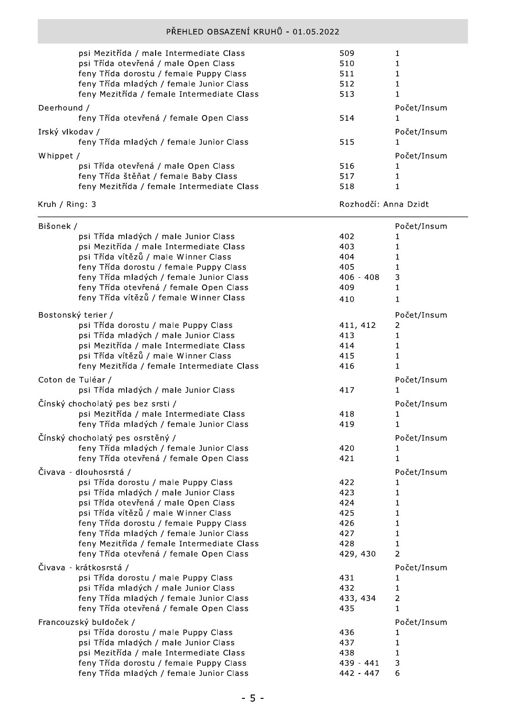|                 | psi Mezitřída / male Intermediate Class    | 509 |             |
|-----------------|--------------------------------------------|-----|-------------|
|                 | psi Třída otevřená / male Open Class       | 510 |             |
|                 | feny Třída dorostu / female Puppy Class    | 511 |             |
|                 | feny Třída mladých / female Junior Class   | 512 |             |
|                 | feny Mezitřída / female Intermediate Class | 513 |             |
| Deerhound /     |                                            |     | Počet/Insum |
|                 | feny Třída otevřená / female Open Class    | 514 |             |
| Irský vlkodav / |                                            |     | Počet/Insum |
|                 | feny Třída mladých / female Junior Class   | 515 |             |
| Whippet /       |                                            |     | Počet/Insum |
|                 | psi Třída otevřená / male Open Class       | 516 |             |
|                 | feny Třída štěňat / female Baby Class      | 517 |             |
|                 | feny Mezitřída / female Intermediate Class | 518 |             |
|                 |                                            |     |             |

## Kruh / Ring: 3

Rozhodčí: Anna Dzidt

| Bišonek / |                                            |             | Počet/Insum  |
|-----------|--------------------------------------------|-------------|--------------|
|           | psi Třída mladých / male Junior Class      | 402         | 1            |
|           | psi Mezitřída / male Intermediate Class    | 403         | 1            |
|           | psi Třída vítězů / male Winner Class       | 404         | 1            |
|           | feny Třída dorostu / female Puppy Class    | 405         | 1            |
|           | feny Třída mladých / female Junior Class   | $406 - 408$ | 3            |
|           | feny Třída otevřená / female Open Class    | 409         | 1            |
|           | feny Třída vítězů / female Winner Class    | 410         | 1            |
|           | Bostonský terier /                         |             | Počet/Insum  |
|           | psi Třída dorostu / male Puppy Class       | 411, 412    | 2            |
|           | psi Třída mladých / male Junior Class      | 413         | $\mathbf 1$  |
|           | psi Mezitřída / male Intermediate Class    | 414         | $\mathbf{1}$ |
|           | psi Třída vítězů / male Winner Class       | 415         | 1            |
|           | feny Mezitřída / female Intermediate Class | 416         | 1            |
|           | Coton de Tuléar /                          |             | Počet/Insum  |
|           | psi Třída mladých / male Junior Class      | 417         | 1            |
|           | Čínský chocholatý pes bez srsti /          |             | Počet/Insum  |
|           | psi Mezitřída / male Intermediate Class    | 418         | 1            |
|           | feny Třída mladých / female Junior Class   | 419         | 1            |
|           | Čínský chocholatý pes osrstěný /           |             | Počet/Insum  |
|           | feny Třída mladých / female Junior Class   | 420         | 1            |
|           | feny Třída otevřená / female Open Class    | 421         | 1            |
|           | Čivava - dlouhosrstá /                     |             | Počet/Insum  |
|           | psi Třída dorostu / male Puppy Class       | 422         | 1            |
|           | psi Třída mladých / male Junior Class      | 423         | 1            |
|           | psi Třída otevřená / male Open Class       | 424         | 1            |
|           | psi Třída vítězů / male Winner Class       | 425         | 1            |
|           | feny Třída dorostu / female Puppy Class    | 426         | 1            |
|           | feny Třída mladých / female Junior Class   | 427         | 1            |
|           | feny Mezitřída / female Intermediate Class | 428         | 1            |
|           | feny Třída otevřená / female Open Class    | 429, 430    | 2            |
|           | Čivava - krátkosrstá /                     |             | Počet/Insum  |
|           | psi Třída dorostu / male Puppy Class       | 431         | 1            |
|           | psi Třída mladých / male Junior Class      | 432         | 1            |
|           | feny Třída mladých / female Junior Class   | 433, 434    | 2            |
|           | feny Třída otevřená / female Open Class    | 435         | 1            |
|           | Francouzský buldoček /                     |             | Počet/Insum  |
|           | psi Třída dorostu / male Puppy Class       | 436         | ı            |
|           | psi Třída mladých / male Junior Class      | 437         | 1            |
|           | psi Mezitřída / male Intermediate Class    | 438         | 1            |
|           | feny Třída dorostu / female Puppy Class    | 439 - 441   | 3            |
|           | feny Třída mladých / female Junior Class   | 442 - 447   | 6            |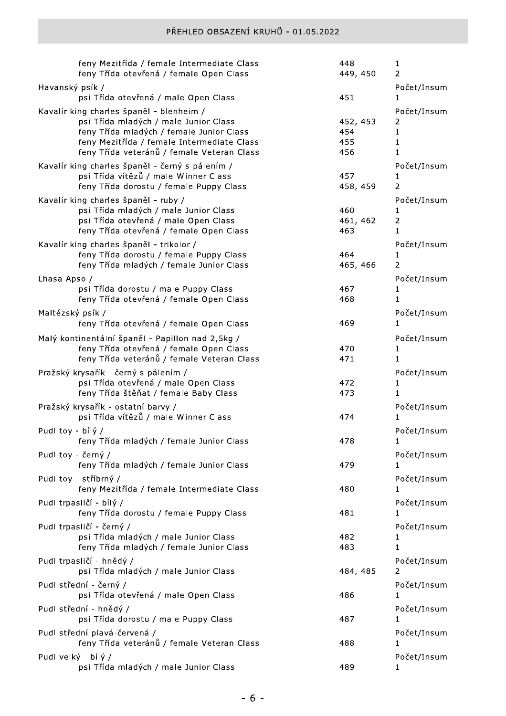| feny Mezitřída / female Intermediate Class<br>feny Třída otevřená / female Open Class                                                                                                                                     | 448<br>449, 450               | 1<br>2                                                |
|---------------------------------------------------------------------------------------------------------------------------------------------------------------------------------------------------------------------------|-------------------------------|-------------------------------------------------------|
| Havanský psík /<br>psi Třída otevřená / male Open Class                                                                                                                                                                   | 451                           | Počet/Insum<br>1                                      |
| Kavalír king charles španěl - blenheim /<br>psi Třída mladých / male Junior Class<br>feny Třída mladých / female Junior Class<br>feny Mezitřída / female Intermediate Class<br>feny Třída veteránů / female Veteran Class | 452, 453<br>454<br>455<br>456 | Počet/Insum<br>2<br>$\mathbf{1}$<br>1<br>$\mathbf{1}$ |
| Kavalír king charles španěl - černý s pálením /<br>psi Třída vítězů / male Winner Class<br>feny Třída dorostu / female Puppy Class                                                                                        | 457<br>458, 459               | Počet/Insum<br>1<br>$\overline{2}$                    |
| Kavalír king charles španěl - ruby /<br>psi Třída mladých / male Junior Class<br>psi Třída otevřená / male Open Class<br>feny Třída otevřená / female Open Class                                                          | 460<br>461, 462<br>463        | Počet/Insum<br>1<br>$\overline{2}$<br>$\mathbf{1}$    |
| Kavalír king charles španěl - trikolor /<br>feny Třída dorostu / female Puppy Class<br>feny Třída mladých / female Junior Class                                                                                           | 464<br>465, 466               | Počet/Insum<br>1<br>$\overline{2}$                    |
| Lhasa Apso /<br>psi Třída dorostu / male Puppy Class<br>feny Třída otevřená / female Open Class                                                                                                                           | 467<br>468                    | Počet/Insum<br>1<br>1                                 |
| Maltézský psík /<br>feny Třída otevřená / female Open Class                                                                                                                                                               | 469                           | Počet/Insum<br>1                                      |
| Malý kontinentální španěl - Papillon nad 2,5kg /<br>feny Třída otevřená / female Open Class<br>feny Třída veteránů / female Veteran Class                                                                                 | 470<br>471                    | Počet/Insum<br>1<br>1                                 |
| Pražský krysařík - černý s pálením /<br>psi Třída otevřená / male Open Class<br>feny Třída štěňat / female Baby Class                                                                                                     | 472<br>473                    | Počet/Insum<br>1<br>1                                 |
| Pražský krysařík - ostatní barvy /<br>psi Třída vítězů / male Winner Class                                                                                                                                                | 474                           | Počet/Insum<br>$\mathbf{1}$                           |
| Pudl toy - bílý /<br>feny Třída mladých / female Junior Class                                                                                                                                                             | 478                           | Počet/Insum<br>1                                      |
| Pudl toy - černý /<br>feny Třída mladých / female Junior Class                                                                                                                                                            | 479                           | Počet/Insum<br>1.                                     |
| Pudl toy - stříbrný /<br>feny Mezitřída / female Intermediate Class                                                                                                                                                       | 480                           | Počet/Insum<br>1                                      |
| Pudl trpasličí - bílý /<br>feny Třída dorostu / female Puppy Class                                                                                                                                                        | 481                           | Počet/Insum<br>1                                      |
| Pudl trpasličí - černý /<br>psi Třída mladých / male Junior Class<br>feny Třída mladých / female Junior Class                                                                                                             | 482<br>483                    | Počet/Insum<br>ı<br>1                                 |
| Pudl trpasličí - hnědý /<br>psi Třída mladých / male Junior Class                                                                                                                                                         | 484, 485                      | Počet/Insum<br>2                                      |
| Pudl střední - černý /<br>psi Třída otevřená / male Open Class                                                                                                                                                            | 486                           | Počet/Insum<br>1                                      |
| Pudl střední - hnědý /<br>psi Třída dorostu / male Puppy Class                                                                                                                                                            | 487                           | Počet/Insum<br>1                                      |
| Pudl střední plavá-červená /<br>feny Třída veteránů / female Veteran Class                                                                                                                                                | 488                           | Počet/Insum<br>1                                      |
| Pudl velký - bílý /<br>psi Třída mladých / male Junior Class                                                                                                                                                              | 489                           | Počet/Insum<br>1                                      |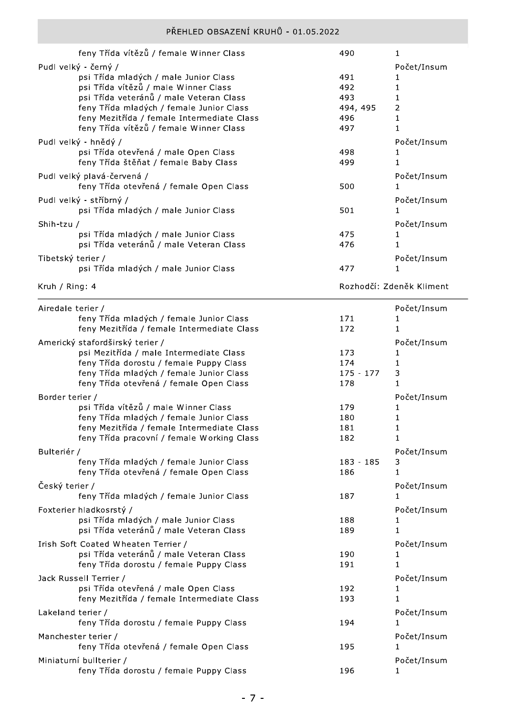|                   | feny Třída vítězů / female Winner Class                                          | 490         | 1                        |
|-------------------|----------------------------------------------------------------------------------|-------------|--------------------------|
|                   | Pudl velký - černý /                                                             |             | Počet/Insum              |
|                   | psi Třída mladých / male Junior Class                                            | 491         | 1                        |
|                   | psi Třída vítězů / male Winner Class                                             | 492         | 1                        |
|                   | psi Třída veteránů / male Veteran Class                                          | 493         | 1                        |
|                   | feny Třída mladých / female Junior Class                                         | 494, 495    | 2                        |
|                   | feny Mezitřída / female Intermediate Class                                       | 496         | 1                        |
|                   | feny Třída vítězů / female Winner Class                                          | 497         | 1                        |
|                   | Pudl velký - hnědý /                                                             |             | Počet/Insum              |
|                   | psi Třída otevřená / male Open Class                                             | 498         | 1                        |
|                   | feny Třída štěňat / female Baby Class                                            | 499         | $\mathbf{1}$             |
|                   | Pudl velký plavá-červená /                                                       |             | Počet/Insum              |
|                   | feny Třída otevřená / female Open Class                                          | 500         | 1                        |
|                   | Pudl velký - stříbrný /                                                          |             | Počet/Insum              |
|                   | psi Třída mladých / male Junior Class                                            | 501         | 1                        |
|                   |                                                                                  |             |                          |
| Shih-tzu /        |                                                                                  |             | Počet/Insum              |
|                   | psi Třída mladých / male Junior Class<br>psi Třída veteránů / male Veteran Class | 475<br>476  | 1<br>$\mathbf{1}$        |
|                   |                                                                                  |             |                          |
| Tibetský terier / |                                                                                  |             | Počet/Insum              |
|                   | psi Třída mladých / male Junior Class                                            | 477         | 1                        |
| Kruh / Ring: 4    |                                                                                  |             | Rozhodčí: Zdeněk Kliment |
|                   |                                                                                  |             |                          |
| Airedale terier / |                                                                                  |             | Počet/Insum              |
|                   | feny Třída mladých / female Junior Class                                         | 171         | 1                        |
|                   | feny Mezitřída / female Intermediate Class                                       | 172         | 1                        |
|                   | Americký stafordširský terier /                                                  |             | Počet/Insum              |
|                   | psi Mezitřída / male Intermediate Class                                          | 173         | 1                        |
|                   | feny Třída dorostu / female Puppy Class                                          | 174         | 1                        |
|                   | feny Třída mladých / female Junior Class                                         | $175 - 177$ | 3                        |
|                   | feny Třída otevřená / female Open Class                                          | 178         | 1                        |
| Border terier /   |                                                                                  |             | Počet/Insum              |
|                   | psi Třída vítězů / male Winner Class                                             | 179         | 1                        |
|                   | feny Třída mladých / female Junior Class                                         | 180         | 1                        |
|                   | feny Mezitřída / female Intermediate Class                                       | 181         |                          |
|                   | feny Třída pracovní / female Working Class                                       | 182         | 1                        |
| Bulteriér /       |                                                                                  |             | Počet/Insum              |
|                   | feny Třída mladých / female Junior Class                                         | $183 - 185$ |                          |
|                   |                                                                                  |             | 3                        |
|                   | feny Třída otevřená / female Open Class                                          | 186         | 1                        |
|                   |                                                                                  |             |                          |
| Český terier /    | feny Třída mladých / female Junior Class                                         | 187         | Počet/Insum<br>1.        |
|                   |                                                                                  |             |                          |
|                   | Foxterier hladkosrstý /                                                          |             | Počet/Insum<br>1         |
|                   | psi Třída mladých / male Junior Class<br>psi Třída veteránů / male Veteran Class | 188<br>189  | 1                        |
|                   |                                                                                  |             |                          |
|                   | Irish Soft Coated Wheaten Terrier /                                              |             | Počet/Insum              |
|                   | psi Třída veteránů / male Veteran Class                                          | 190         | 1<br>1                   |
|                   | feny Třída dorostu / female Puppy Class                                          | 191         |                          |
|                   | Jack Russell Terrier /                                                           |             | Počet/Insum              |
|                   | psi Třída otevřená / male Open Class                                             | 192         | 1<br>1                   |
|                   | feny Mezitřída / female Intermediate Class                                       | 193         |                          |
| Lakeland terier / |                                                                                  |             | Počet/Insum              |
|                   | feny Třída dorostu / female Puppy Class                                          | 194         | 1                        |
|                   | Manchester terier /                                                              |             | Počet/Insum              |
|                   | feny Třída otevřená / female Open Class                                          | 195         | 1                        |
|                   | Miniaturní bullterier /<br>feny Třída dorostu / female Puppy Class               | 196         | Počet/Insum<br>1         |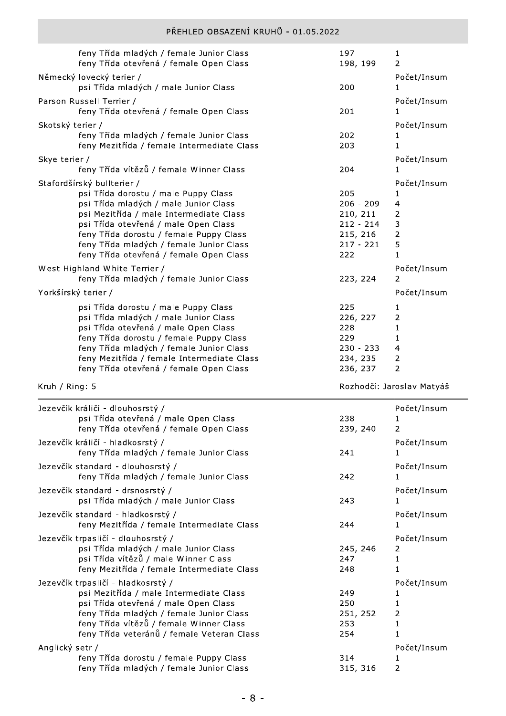|                     | feny Třída mladých / female Junior Class<br>feny Třída otevřená / female Open Class | 197<br>198, 199 | $\mathbf{1}$<br>2         |
|---------------------|-------------------------------------------------------------------------------------|-----------------|---------------------------|
|                     | Německý lovecký terier /                                                            |                 | Počet/Insum               |
|                     | psi Třída mladých / male Junior Class                                               | 200             | 1                         |
|                     | Parson Russell Terrier /<br>feny Třída otevřená / female Open Class                 | 201             | Počet/Insum<br>1          |
| Skotský terier /    |                                                                                     |                 | Počet/Insum               |
|                     | feny Třída mladých / female Junior Class                                            | 202             | 1                         |
|                     | feny Mezitřída / female Intermediate Class                                          | 203             | $\mathbf{1}$              |
| Skye terier /       |                                                                                     |                 | Počet/Insum               |
|                     | feny Třída vítězů / female Winner Class                                             | 204             | 1                         |
|                     | Stafordšírský bullterier /                                                          |                 | Počet/Insum               |
|                     | psi Třída dorostu / male Puppy Class                                                | 205             | 1                         |
|                     | psi Třída mladých / male Junior Class                                               | $206 - 209$     | $\overline{4}$            |
|                     | psi Mezitřída / male Intermediate Class                                             | 210, 211        | 2                         |
|                     | psi Třída otevřená / male Open Class                                                | $212 - 214$     | 3                         |
|                     | feny Třída dorostu / female Puppy Class                                             | 215, 216        | $\overline{2}$            |
|                     | feny Třída mladých / female Junior Class                                            | $217 - 221$     | 5                         |
|                     | feny Třída otevřená / female Open Class                                             | 222             | 1                         |
|                     | West Highland White Terrier /                                                       |                 | Počet/Insum               |
|                     | feny Třída mladých / female Junior Class                                            | 223, 224        | 2                         |
| Yorkšírský terier / |                                                                                     |                 | Počet/Insum               |
|                     | psi Třída dorostu / male Puppy Class                                                | 225             | 1                         |
|                     | psi Třída mladých / male Junior Class                                               | 226, 227        | 2                         |
|                     | psi Třída otevřená / male Open Class                                                | 228             | 1                         |
|                     | feny Třída dorostu / female Puppy Class                                             | 229             | 1                         |
|                     | feny Třída mladých / female Junior Class                                            | $230 - 233$     | 4                         |
|                     | feny Mezitřída / female Intermediate Class                                          | 234, 235        | $\overline{2}$            |
|                     |                                                                                     |                 |                           |
|                     | feny Třída otevřená / female Open Class                                             | 236, 237        | 2                         |
| Kruh / Ring: 5      |                                                                                     |                 | Rozhodčí: Jaroslav Matyáš |
|                     |                                                                                     |                 |                           |
|                     | Jezevčík králičí - dlouhosrstý /                                                    |                 | Počet/Insum               |
|                     | psi Třída otevřená / male Open Class                                                | 238             | 1<br>$\mathcal{P}$        |
|                     | feny Třída otevřená / female Open Class                                             | 239, 240        |                           |
|                     | Jezevčík králičí - hladkosrstý /                                                    |                 | Počet/Insum               |
|                     | feny Třída mladých / female Junior Class                                            | 241             | 1                         |
|                     | Jezevčík standard - dlouhosrstý /                                                   |                 | Počet/Insum               |
|                     | feny Třída mladých / female Junior Class                                            | 242             | 1                         |
|                     | Jezevčík standard - drsnosrstý /                                                    |                 | Počet/Insum               |
|                     | psi Třída mladých / male Junior Class                                               | 243             | 1                         |
|                     |                                                                                     |                 |                           |
|                     | Jezevčík standard - hladkosrstý /                                                   | 244             | Počet/Insum<br>1          |
|                     | feny Mezitřída / female Intermediate Class                                          |                 |                           |
|                     | Jezevčík trpasličí - dlouhosrstý /                                                  |                 | Počet/Insum               |
|                     | psi Třída mladých / male Junior Class                                               | 245, 246        | 2                         |
|                     | psi Třída vítězů / male Winner Class                                                | 247             | $\mathbf{1}$              |
|                     | feny Mezitřída / female Intermediate Class                                          | 248             | 1                         |
|                     | Jezevčík trpasličí - hladkosrstý /                                                  |                 | Počet/Insum               |
|                     | psi Mezitřída / male Intermediate Class                                             | 249             | 1                         |
|                     | psi Třída otevřená / male Open Class                                                | 250             | 1                         |
|                     | feny Třída mladých / female Junior Class                                            | 251, 252        | $\overline{2}$            |
|                     | feny Třída vítězů / female Winner Class                                             | 253             | 1                         |
|                     | feny Třída veteránů / female Veteran Class                                          | 254             | $\mathbf{1}$              |
| Anglický setr /     |                                                                                     |                 | Počet/Insum               |
|                     | feny Třída dorostu / female Puppy Class<br>feny Třída mladých / female Junior Class | 314<br>315, 316 | $\mathbf{1}$<br>2         |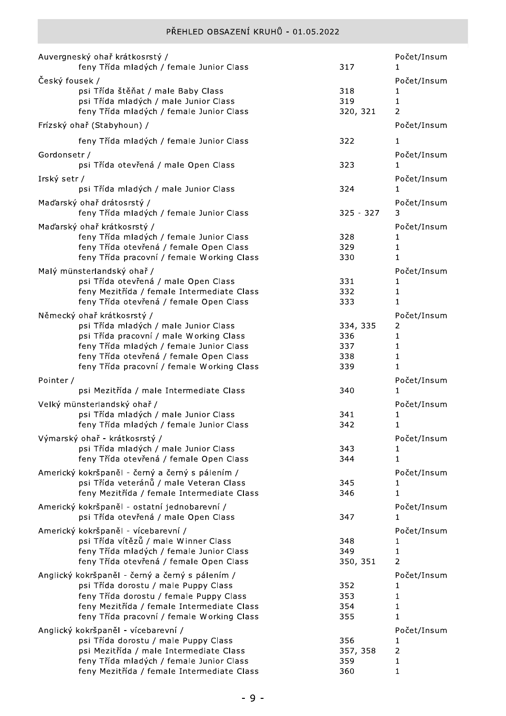|                | Auvergneský ohař krátkosrstý /<br>feny Třída mladých / female Junior Class                                              | 317                    | Počet/Insum<br>1             |
|----------------|-------------------------------------------------------------------------------------------------------------------------|------------------------|------------------------------|
| Český fousek / | psi Třída štěňat / male Baby Class<br>psi Třída mladých / male Junior Class<br>feny Třída mladých / female Junior Class | 318<br>319<br>320, 321 | Počet/Insum<br>1<br>1<br>2   |
|                | Frízský ohař (Stabyhoun) /                                                                                              |                        | Počet/Insum                  |
|                | feny Třída mladých / female Junior Class                                                                                | 322                    | 1                            |
| Gordonsetr /   | psi Třída otevřená / male Open Class                                                                                    | 323                    | Počet/Insum<br>1             |
| Irský setr /   | psi Třída mladých / male Junior Class                                                                                   | 324                    | Počet/Insum<br>1             |
|                | Maďarský ohař drátosrstý /<br>feny Třída mladých / female Junior Class                                                  | $325 - 327$            | Počet/Insum<br>3             |
|                | Maďarský ohař krátkosrstý /                                                                                             |                        | Počet/Insum                  |
|                | feny Třída mladých / female Junior Class<br>feny Třída otevřená / female Open Class                                     | 328<br>329             | 1<br>1                       |
|                | feny Třída pracovní / female Working Class                                                                              | 330                    | 1                            |
|                | Malý münsterlandský ohař /                                                                                              |                        | Počet/Insum                  |
|                | psi Třída otevřená / male Open Class<br>feny Mezitřída / female Intermediate Class                                      | 331<br>332             | 1<br>1                       |
|                | feny Třída otevřená / female Open Class                                                                                 | 333                    | 1                            |
|                | Německý ohař krátkosrstý /                                                                                              |                        | Počet/Insum                  |
|                | psi Třída mladých / male Junior Class                                                                                   | 334, 335               | 2                            |
|                | psi Třída pracovní / male Working Class                                                                                 | 336                    | 1                            |
|                | feny Třída mladých / female Junior Class                                                                                | 337                    | 1                            |
|                | feny Třída otevřená / female Open Class<br>feny Třída pracovní / female Working Class                                   | 338<br>339             | $\mathbf{1}$<br>$\mathbf{1}$ |
|                |                                                                                                                         |                        |                              |
| Pointer /      | psi Mezitřída / male Intermediate Class                                                                                 | 340                    | Počet/Insum<br>1             |
|                | Velký münsterlandský ohař /                                                                                             |                        | Počet/Insum                  |
|                | psi Třída mladých / male Junior Class                                                                                   | 341                    | 1                            |
|                | feny Třída mladých / female Junior Class                                                                                | 342                    | 1                            |
|                | Výmarský ohař - krátkosrstý /                                                                                           |                        | Počet/Insum                  |
|                | psi Třída mladých / male Junior Class                                                                                   | 343                    | ı                            |
|                | feny Třída otevřená / female Open Class                                                                                 | 344                    | 1                            |
|                | Americký kokršpaněl - černý a černý s pálením /                                                                         |                        | Počet/Insum                  |
|                | psi Třída veteránů / male Veteran Class                                                                                 | 345                    | ı                            |
|                | feny Mezitřída / female Intermediate Class                                                                              | 346                    | 1                            |
|                | Americký kokršpaněl - ostatní jednobarevní /<br>psi Třída otevřená / male Open Class                                    | 347                    | Počet/Insum<br>1             |
|                |                                                                                                                         |                        | Počet/Insum                  |
|                | Americký kokršpaněl - vícebarevní /<br>psi Třída vítězů / male Winner Class                                             | 348                    | 1                            |
|                | feny Třída mladých / female Junior Class                                                                                | 349                    | 1                            |
|                | feny Třída otevřená / female Open Class                                                                                 | 350, 351               | 2                            |
|                | Anglický kokršpaněl - černý a černý s pálením /                                                                         |                        | Počet/Insum                  |
|                | psi Třída dorostu / male Puppy Class                                                                                    | 352                    | 1                            |
|                | feny Třída dorostu / female Puppy Class                                                                                 | 353                    | 1                            |
|                | feny Mezitřída / female Intermediate Class                                                                              | 354                    | 1                            |
|                | feny Třída pracovní / female Working Class                                                                              | 355                    | 1                            |
|                | Anglický kokršpaněl - vícebarevní /                                                                                     |                        | Počet/Insum                  |
|                | psi Třída dorostu / male Puppy Class<br>psi Mezitřída / male Intermediate Class                                         | 356<br>357, 358        | 1<br>$\overline{2}$          |
|                | feny Třída mladých / female Junior Class                                                                                | 359                    | 1                            |
|                | feny Mezitřída / female Intermediate Class                                                                              | 360                    | $\mathbf{1}$                 |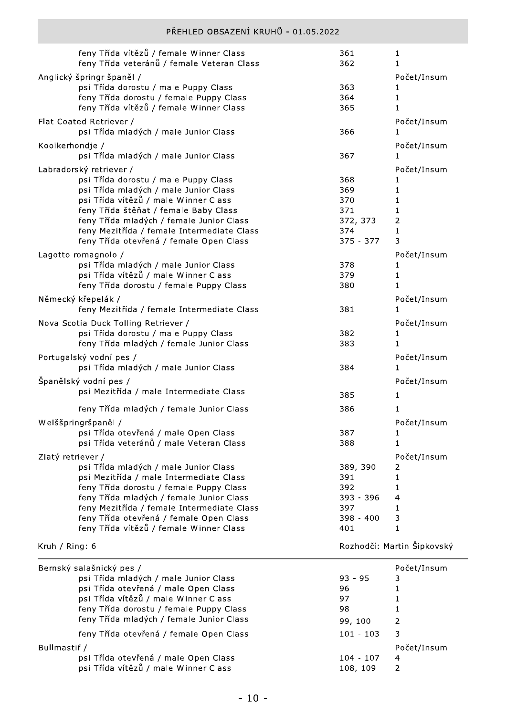| PŘEHLED OBSAZENÍ KRUHŮ - 01.05.2022                                                                                                                                                                                                                                                                                              |                                                                |                                                |
|----------------------------------------------------------------------------------------------------------------------------------------------------------------------------------------------------------------------------------------------------------------------------------------------------------------------------------|----------------------------------------------------------------|------------------------------------------------|
| feny Třída vítězů / female Winner Class<br>feny Třída veteránů / female Veteran Class                                                                                                                                                                                                                                            | 361<br>362                                                     | 1<br>1                                         |
| Anglický špringr španěl /<br>psi Třída dorostu / male Puppy Class<br>feny Třída dorostu / female Puppy Class<br>feny Třída vítězů / female Winner Class                                                                                                                                                                          | 363<br>364<br>365                                              | Počet/Insum<br>1<br>1<br>$\mathbf{1}$          |
| Flat Coated Retriever /<br>psi Třída mladých / male Junior Class                                                                                                                                                                                                                                                                 | 366                                                            | Počet/Insum<br>1                               |
| Kooikerhondje /<br>psi Třída mladých / male Junior Class                                                                                                                                                                                                                                                                         | 367                                                            | Počet/Insum<br>1                               |
| Labradorský retriever /<br>psi Třída dorostu / male Puppy Class<br>psi Třída mladých / male Junior Class<br>psi Třída vítězů / male Winner Class<br>feny Třída štěňat / female Baby Class<br>feny Třída mladých / female Junior Class<br>feny Mezitřída / female Intermediate Class<br>feny Třída otevřená / female Open Class   | 368<br>369<br>370<br>371<br>372, 373<br>374<br>$375 - 377$     | Počet/Insum<br>1<br>1<br>1<br>1<br>2<br>1<br>3 |
| Lagotto romagnolo /<br>psi Třída mladých / male Junior Class<br>psi Třída vítězů / male Winner Class<br>feny Třída dorostu / female Puppy Class                                                                                                                                                                                  | 378<br>379<br>380                                              | Počet/Insum<br>1<br>1<br>1                     |
| Německý křepelák /<br>feny Mezitřída / female Intermediate Class                                                                                                                                                                                                                                                                 | 381                                                            | Počet/Insum<br>$\mathbf{1}$                    |
| Nova Scotia Duck Tolling Retriever /<br>psi Třída dorostu / male Puppy Class<br>feny Třída mladých / female Junior Class                                                                                                                                                                                                         | 382<br>383                                                     | Počet/Insum<br>1<br>1                          |
| Portugalský vodní pes /<br>psi Třída mladých / male Junior Class                                                                                                                                                                                                                                                                 | 384                                                            | Počet/Insum<br>1                               |
| Španělský vodní pes /<br>psi Mezitřída / male Intermediate Class                                                                                                                                                                                                                                                                 | 385                                                            | Počet/Insum<br>1                               |
| feny Třída mladých / female Junior Class<br>Welššpringršpaněl /<br>psi Třída otevřená / male Open Class<br>psi Třída veteránů / male Veteran Class                                                                                                                                                                               | 386<br>387<br>388                                              | 1<br>Počet/Insum<br>1<br>1                     |
| Zlatý retriever /<br>psi Třída mladých / male Junior Class<br>psi Mezitřída / male Intermediate Class<br>feny Třída dorostu / female Puppy Class<br>feny Třída mladých / female Junior Class<br>feny Mezitřída / female Intermediate Class<br>feny Třída otevřená / female Open Class<br>feny Třída vítězů / female Winner Class | 389, 390<br>391<br>392<br>393 - 396<br>397<br>398 - 400<br>401 | Počet/Insum<br>2<br>1<br>1<br>4<br>1<br>3<br>1 |
| Kruh / Ring: 6                                                                                                                                                                                                                                                                                                                   |                                                                | Rozhodčí: Martin Šipkovský                     |
| Bernský salašnický pes /                                                                                                                                                                                                                                                                                                         |                                                                | Počet/Insum                                    |

| Bernský salašnický pes /                 |             | Počet/Insum   |
|------------------------------------------|-------------|---------------|
| psi Třída mladých / male Junior Class    | $93 - 95$   | 3             |
| psi Třída otevřená / male Open Class     | 96          |               |
| psi Třída vítězů / male Winner Class     | 97          |               |
| feny Třída dorostu / female Puppy Class  | 98          |               |
| feny Třída mladých / female Junior Class | 99, 100     | $\mathcal{P}$ |
| feny Třída otevřená / female Open Class  | $101 - 103$ | 3             |
| Bullmastif /                             |             | Počet/Insum   |
| psi Třída otevřená / male Open Class     | $104 - 107$ | 4             |
| psi Třída vítězů / male Winner Class     | 108, 109    | 2             |